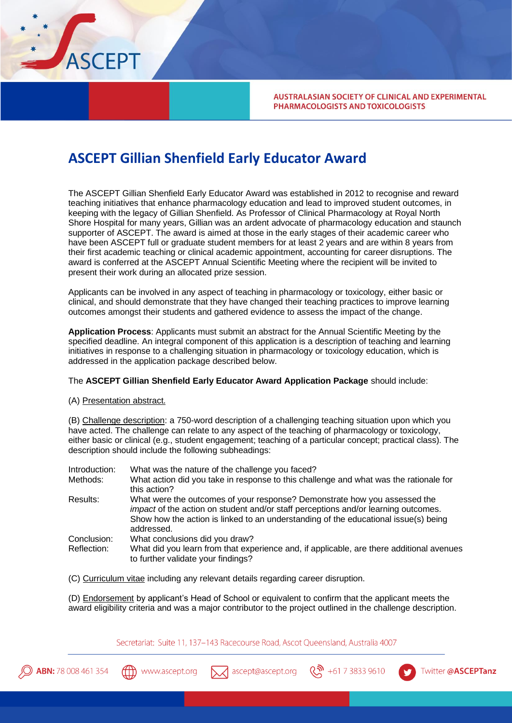

**AUSTRALASIAN SOCIETY OF CLINICAL AND EXPERIMENTAL** PHARMACOLOGISTS AND TOXICOLOGISTS

## **ASCEPT Gillian Shenfield Early Educator Award**

The ASCEPT Gillian Shenfield Early Educator Award was established in 2012 to recognise and reward teaching initiatives that enhance pharmacology education and lead to improved student outcomes, in keeping with the legacy of Gillian Shenfield. As Professor of Clinical Pharmacology at Royal North Shore Hospital for many years, Gillian was an ardent advocate of pharmacology education and staunch supporter of ASCEPT. The award is aimed at those in the early stages of their academic career who have been ASCEPT full or graduate student members for at least 2 years and are within 8 years from their first academic teaching or clinical academic appointment, accounting for career disruptions. The award is conferred at the ASCEPT Annual Scientific Meeting where the recipient will be invited to present their work during an allocated prize session.

Applicants can be involved in any aspect of teaching in pharmacology or toxicology, either basic or clinical, and should demonstrate that they have changed their teaching practices to improve learning outcomes amongst their students and gathered evidence to assess the impact of the change.

**Application Process**: Applicants must submit an abstract for the Annual Scientific Meeting by the specified deadline. An integral component of this application is a description of teaching and learning initiatives in response to a challenging situation in pharmacology or toxicology education, which is addressed in the application package described below.

## The **ASCEPT Gillian Shenfield Early Educator Award Application Package** should include:

(A) Presentation abstract.

(B) Challenge description: a 750-word description of a challenging teaching situation upon which you have acted. The challenge can relate to any aspect of the teaching of pharmacology or toxicology, either basic or clinical (e.g., student engagement; teaching of a particular concept; practical class). The description should include the following subheadings:

| Introduction: | What was the nature of the challenge you faced?                                                                                                                                                                                                                      |
|---------------|----------------------------------------------------------------------------------------------------------------------------------------------------------------------------------------------------------------------------------------------------------------------|
| Methods:      | What action did you take in response to this challenge and what was the rationale for<br>this action?                                                                                                                                                                |
| Results:      | What were the outcomes of your response? Demonstrate how you assessed the<br>impact of the action on student and/or staff perceptions and/or learning outcomes.<br>Show how the action is linked to an understanding of the educational issue(s) being<br>addressed. |
| Conclusion:   | What conclusions did you draw?                                                                                                                                                                                                                                       |
| Reflection:   | What did you learn from that experience and, if applicable, are there additional avenues<br>to further validate your findings?                                                                                                                                       |

(C) Curriculum vitae including any relevant details regarding career disruption.

(D) Endorsement by applicant's Head of School or equivalent to confirm that the applicant meets the award eligibility criteria and was a major contributor to the project outlined in the challenge description.

Secretariat: Suite 11, 137-143 Racecourse Road, Ascot Queensland, Australia 4007





ascept@ascept.org

 $\binom{10}{10}$  +61 7 3833 9610